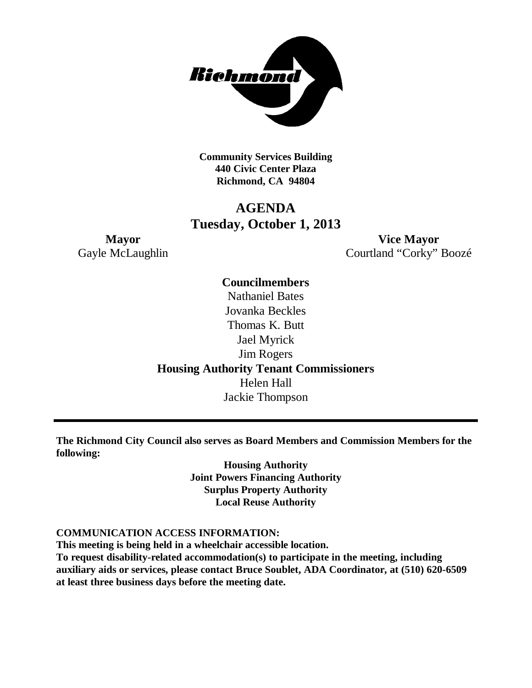

**Community Services Building 440 Civic Center Plaza Richmond, CA 94804**

## **AGENDA Tuesday, October 1, 2013**

**Mayor Vice Mayor** Gayle McLaughlin Courtland "Corky" Boozé

**Councilmembers**

Nathaniel Bates Jovanka Beckles Thomas K. Butt Jael Myrick Jim Rogers **Housing Authority Tenant Commissioners** Helen Hall Jackie Thompson

**The Richmond City Council also serves as Board Members and Commission Members for the following:**

> **Housing Authority Joint Powers Financing Authority Surplus Property Authority Local Reuse Authority**

#### **COMMUNICATION ACCESS INFORMATION:**

**This meeting is being held in a wheelchair accessible location.**

**To request disability-related accommodation(s) to participate in the meeting, including auxiliary aids or services, please contact Bruce Soublet, ADA Coordinator, at (510) 620-6509 at least three business days before the meeting date.**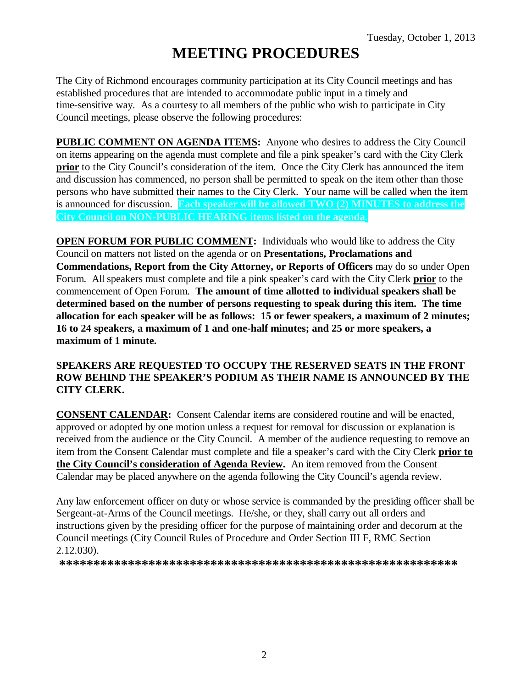# **MEETING PROCEDURES**

The City of Richmond encourages community participation at its City Council meetings and has established procedures that are intended to accommodate public input in a timely and time-sensitive way. As a courtesy to all members of the public who wish to participate in City Council meetings, please observe the following procedures:

**PUBLIC COMMENT ON AGENDA ITEMS:** Anyone who desires to address the City Council on items appearing on the agenda must complete and file a pink speaker's card with the City Clerk **prior** to the City Council's consideration of the item. Once the City Clerk has announced the item and discussion has commenced, no person shall be permitted to speak on the item other than those persons who have submitted their names to the City Clerk. Your name will be called when the item is announced for discussion. **Each speaker will be allowed TWO (2) MINUTES to address the City Council on NON-PUBLIC HEARING items listed on the agenda.**

**OPEN FORUM FOR PUBLIC COMMENT:** Individuals who would like to address the City Council on matters not listed on the agenda or on **Presentations, Proclamations and Commendations, Report from the City Attorney, or Reports of Officers** may do so under Open Forum. All speakers must complete and file a pink speaker's card with the City Clerk **prior** to the commencement of Open Forum. **The amount of time allotted to individual speakers shall be determined based on the number of persons requesting to speak during this item. The time allocation for each speaker will be as follows: 15 or fewer speakers, a maximum of 2 minutes; 16 to 24 speakers, a maximum of 1 and one-half minutes; and 25 or more speakers, a maximum of 1 minute.**

#### **SPEAKERS ARE REQUESTED TO OCCUPY THE RESERVED SEATS IN THE FRONT ROW BEHIND THE SPEAKER'S PODIUM AS THEIR NAME IS ANNOUNCED BY THE CITY CLERK.**

**CONSENT CALENDAR:** Consent Calendar items are considered routine and will be enacted, approved or adopted by one motion unless a request for removal for discussion or explanation is received from the audience or the City Council. A member of the audience requesting to remove an item from the Consent Calendar must complete and file a speaker's card with the City Clerk **prior to the City Council's consideration of Agenda Review.** An item removed from the Consent Calendar may be placed anywhere on the agenda following the City Council's agenda review.

Any law enforcement officer on duty or whose service is commanded by the presiding officer shall be Sergeant-at-Arms of the Council meetings. He/she, or they, shall carry out all orders and instructions given by the presiding officer for the purpose of maintaining order and decorum at the Council meetings (City Council Rules of Procedure and Order Section III F, RMC Section 2.12.030).

**\*\*\*\*\*\*\*\*\*\*\*\*\*\*\*\*\*\*\*\*\*\*\*\*\*\*\*\*\*\*\*\*\*\*\*\*\*\*\*\*\*\*\*\*\*\*\*\*\*\*\*\*\*\*\*\*\*\***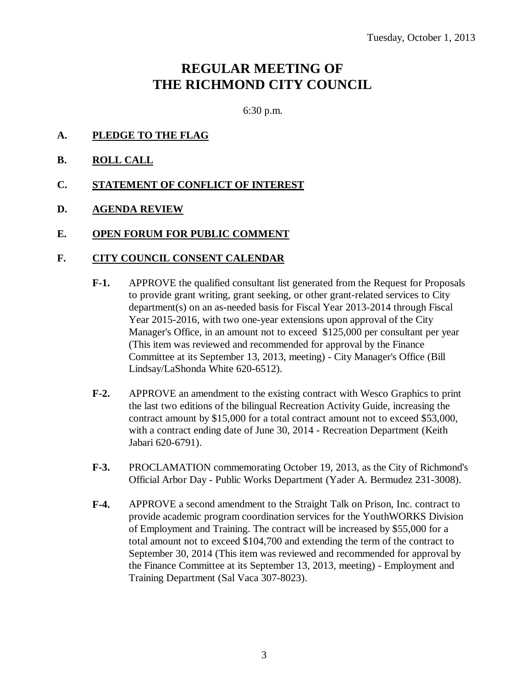# **REGULAR MEETING OF THE RICHMOND CITY COUNCIL**

6:30 p.m.

- **A. PLEDGE TO THE FLAG**
- **B. ROLL CALL**
- **C. STATEMENT OF CONFLICT OF INTEREST**
- **D. AGENDA REVIEW**
- **E. OPEN FORUM FOR PUBLIC COMMENT**

#### **F. CITY COUNCIL CONSENT CALENDAR**

- **F-1.** APPROVE the qualified consultant list generated from the Request for Proposals to provide grant writing, grant seeking, or other grant-related services to City department(s) on an as-needed basis for Fiscal Year 2013-2014 through Fiscal Year 2015-2016, with two one-year extensions upon approval of the City Manager's Office, in an amount not to exceed \$125,000 per consultant per year (This item was reviewed and recommended for approval by the Finance Committee at its September 13, 2013, meeting) - City Manager's Office (Bill Lindsay/LaShonda White 620-6512).
- **F-2.** APPROVE an amendment to the existing contract with Wesco Graphics to print the last two editions of the bilingual Recreation Activity Guide, increasing the contract amount by \$15,000 for a total contract amount not to exceed \$53,000, with a contract ending date of June 30, 2014 - Recreation Department (Keith Jabari 620-6791).
- **F-3.** PROCLAMATION commemorating October 19, 2013, as the City of Richmond's Official Arbor Day - Public Works Department (Yader A. Bermudez 231-3008).
- **F-4.** APPROVE a second amendment to the Straight Talk on Prison, Inc. contract to provide academic program coordination services for the YouthWORKS Division of Employment and Training. The contract will be increased by \$55,000 for a total amount not to exceed \$104,700 and extending the term of the contract to September 30, 2014 (This item was reviewed and recommended for approval by the Finance Committee at its September 13, 2013, meeting) - Employment and Training Department (Sal Vaca 307-8023).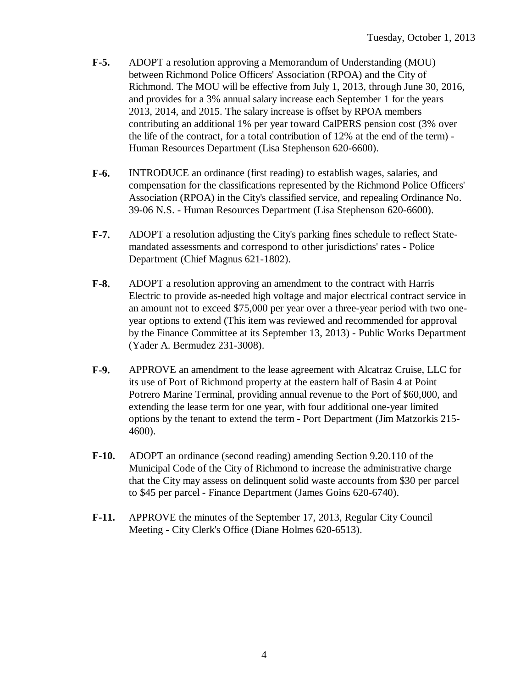- **F-5.** ADOPT a resolution approving a Memorandum of Understanding (MOU) between Richmond Police Officers' Association (RPOA) and the City of Richmond. The MOU will be effective from July 1, 2013, through June 30, 2016, and provides for a 3% annual salary increase each September 1 for the years 2013, 2014, and 2015. The salary increase is offset by RPOA members contributing an additional 1% per year toward CalPERS pension cost (3% over the life of the contract, for a total contribution of 12% at the end of the term) - Human Resources Department (Lisa Stephenson 620-6600).
- **F-6.** INTRODUCE an ordinance (first reading) to establish wages, salaries, and compensation for the classifications represented by the Richmond Police Officers' Association (RPOA) in the City's classified service, and repealing Ordinance No. 39-06 N.S. - Human Resources Department (Lisa Stephenson 620-6600).
- **F-7.** ADOPT a resolution adjusting the City's parking fines schedule to reflect Statemandated assessments and correspond to other jurisdictions' rates - Police Department (Chief Magnus 621-1802).
- **F-8.** ADOPT a resolution approving an amendment to the contract with Harris Electric to provide as-needed high voltage and major electrical contract service in an amount not to exceed \$75,000 per year over a three-year period with two oneyear options to extend (This item was reviewed and recommended for approval by the Finance Committee at its September 13, 2013) - Public Works Department (Yader A. Bermudez 231-3008).
- **F-9.** APPROVE an amendment to the lease agreement with Alcatraz Cruise, LLC for its use of Port of Richmond property at the eastern half of Basin 4 at Point Potrero Marine Terminal, providing annual revenue to the Port of \$60,000, and extending the lease term for one year, with four additional one-year limited options by the tenant to extend the term - Port Department (Jim Matzorkis 215- 4600).
- **F-10.** ADOPT an ordinance (second reading) amending Section 9.20.110 of the Municipal Code of the City of Richmond to increase the administrative charge that the City may assess on delinquent solid waste accounts from \$30 per parcel to \$45 per parcel - Finance Department (James Goins 620-6740).
- **F-11.** APPROVE the minutes of the September 17, 2013, Regular City Council Meeting - City Clerk's Office (Diane Holmes 620-6513).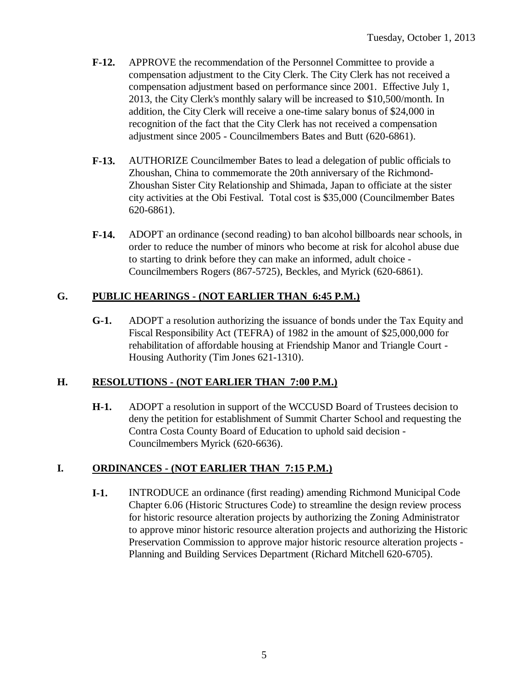- **F-12.** APPROVE the recommendation of the Personnel Committee to provide a compensation adjustment to the City Clerk. The City Clerk has not received a compensation adjustment based on performance since 2001. Effective July 1, 2013, the City Clerk's monthly salary will be increased to \$10,500/month. In addition, the City Clerk will receive a one-time salary bonus of \$24,000 in recognition of the fact that the City Clerk has not received a compensation adjustment since 2005 - Councilmembers Bates and Butt (620-6861).
- **F-13.** AUTHORIZE Councilmember Bates to lead a delegation of public officials to Zhoushan, China to commemorate the 20th anniversary of the Richmond-Zhoushan Sister City Relationship and Shimada, Japan to officiate at the sister city activities at the Obi Festival. Total cost is \$35,000 (Councilmember Bates 620-6861).
- **F-14.** ADOPT an ordinance (second reading) to ban alcohol billboards near schools, in order to reduce the number of minors who become at risk for alcohol abuse due to starting to drink before they can make an informed, adult choice - Councilmembers Rogers (867-5725), Beckles, and Myrick (620-6861).

### **G. PUBLIC HEARINGS - (NOT EARLIER THAN 6:45 P.M.)**

**G-1.** ADOPT a resolution authorizing the issuance of bonds under the Tax Equity and Fiscal Responsibility Act (TEFRA) of 1982 in the amount of \$25,000,000 for rehabilitation of affordable housing at Friendship Manor and Triangle Court - Housing Authority (Tim Jones 621-1310).

#### **H. RESOLUTIONS - (NOT EARLIER THAN 7:00 P.M.)**

**H-1.** ADOPT a resolution in support of the WCCUSD Board of Trustees decision to deny the petition for establishment of Summit Charter School and requesting the Contra Costa County Board of Education to uphold said decision - Councilmembers Myrick (620-6636).

#### **I. ORDINANCES - (NOT EARLIER THAN 7:15 P.M.)**

**I-1.** INTRODUCE an ordinance (first reading) amending Richmond Municipal Code Chapter 6.06 (Historic Structures Code) to streamline the design review process for historic resource alteration projects by authorizing the Zoning Administrator to approve minor historic resource alteration projects and authorizing the Historic Preservation Commission to approve major historic resource alteration projects - Planning and Building Services Department (Richard Mitchell 620-6705).